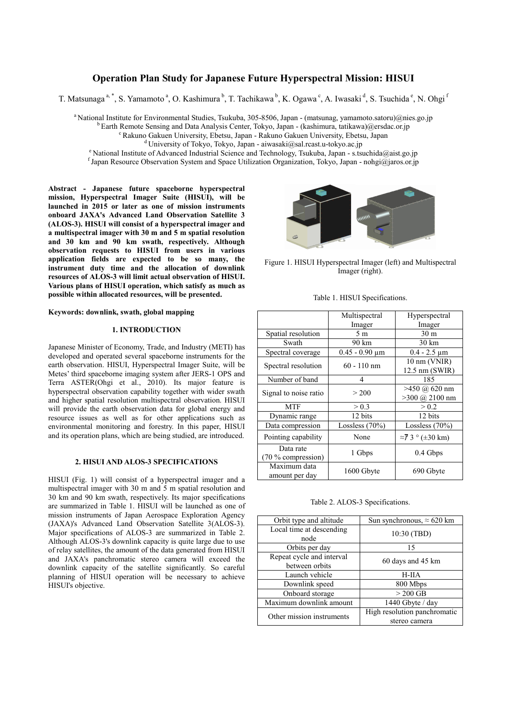# **Operation Plan Study for Japanese Future Hyperspectral Mission: HISUI**

T. Matsunaga<sup>a, \*</sup>, S. Yamamoto<sup>a</sup>, O. Kashimura<sup>b</sup>, T. Tachikawa<sup>b</sup>, K. Ogawa<sup>c</sup>, A. Iwasaki<sup>d</sup>, S. Tsuchida<sup>e</sup>, N. Ohgi<sup>f</sup>

<sup>a</sup> National Institute for Environmental Studies, Tsukuba, 305-8506, Japan - (matsunag, yamamoto.satoru)@nies.go.jp

 $\overline{b}$  Earth Remote Sensing and Data Analysis Center, Tokyo, Japan - (kashimura, tatikawa)@ersdac.or.jp

<sup>c</sup> Rakuno Gakuen University, Ebetsu, Japan - Rakuno Gakuen University, Ebetsu, Japan

<sup>d</sup> University of Tokyo, Tokyo, Japan - aiwasaki@sal.rcast.u-tokyo.ac.jp

<sup>e</sup> National Institute of Advanced Industrial Science and Technology, Tsukuba, Japan - s.tsuchida@aist.go.jp

f Japan Resource Observation System and Space Utilization Organization, Tokyo, Japan - nohgi@jaros.or.jp

**Abstract - Japanese future spaceborne hyperspectral mission, Hyperspectral Imager Suite (HISUI), will be launched in 2015 or later as one of mission instruments onboard JAXA's Advanced Land Observation Satellite 3 (ALOS-3). HISUI will consist of a hyperspectral imager and a multispectral imager with 30 m and 5 m spatial resolution and 30 km and 90 km swath, respectively. Although observation requests to HISUI from users in various application fields are expected to be so many, the instrument duty time and the allocation of downlink resources of ALOS-3 will limit actual observation of HISUI. Various plans of HISUI operation, which satisfy as much as possible within allocated resources, will be presented.** 

**Keywords: downlink, swath, global mapping** 

# **1. INTRODUCTION**

Japanese Minister of Economy, Trade, and Industry (METI) has developed and operated several spaceborne instruments for the earth observation. HISUI, Hyperspectral Imager Suite, will be Metes' third spaceborne imaging system after JERS-1 OPS and Terra ASTER(Ohgi et al., 2010). Its major feature is hyperspectral observation capability together with wider swath and higher spatial resolution multispectral observation. HISUI will provide the earth observation data for global energy and resource issues as well as for other applications such as environmental monitoring and forestry. In this paper, HISUI and its operation plans, which are being studied, are introduced.

# **2. HISUI AND ALOS-3 SPECIFICATIONS**

HISUI (Fig. 1) will consist of a hyperspectral imager and a multispectral imager with 30 m and 5 m spatial resolution and 30 km and 90 km swath, respectively. Its major specifications are summarized in Table 1. HISUI will be launched as one of mission instruments of Japan Aerospace Exploration Agency (JAXA)'s Advanced Land Observation Satellite 3(ALOS-3). Major specifications of ALOS-3 are summarized in Table 2. Although ALOS-3's downlink capacity is quite large due to use of relay satellites, the amount of the data generated from HISUI and JAXA's panchromatic stereo camera will exceed the downlink capacity of the satellite significantly. So careful planning of HISUI operation will be necessary to achieve HISUI's objective.



Figure 1. HISUI Hyperspectral Imager (left) and Multispectral Imager (right).

|  |  | Table 1. HISUI Specifications. |
|--|--|--------------------------------|
|--|--|--------------------------------|

|                                   | Multispectral            | Hyperspectral                               |  |
|-----------------------------------|--------------------------|---------------------------------------------|--|
|                                   | Imager                   | Imager                                      |  |
| Spatial resolution                | 5 m                      | 30 <sub>m</sub>                             |  |
| Swath                             | 90 km                    | $30 \mathrm{km}$                            |  |
| Spectral coverage                 | $0.45 - 0.90 \text{ µm}$ | $0.4 - 2.5 \mu m$                           |  |
| Spectral resolution               | $60 - 110$ nm            | 10 nm (VNIR)<br>12.5 nm (SWIR)              |  |
| Number of band                    | 4                        | 185                                         |  |
| Signal to noise ratio             | > 200                    | $>450$ (a) 620 nm<br>$>300 \ (a) 2100 \ nm$ |  |
| <b>MTF</b>                        | > 0.3                    | > 0.2                                       |  |
| Dynamic range                     | 12 bits                  | 12 bits                                     |  |
| Data compression                  | Lossless $(70%)$         | Lossless $(70\%)$                           |  |
| Pointing capability               | None                     | $\approx$ 7 3 ° ( $\pm$ 30 km)              |  |
| Data rate<br>$(70\%$ compression) | 1 Gbps                   | $0.4$ Gbps                                  |  |
| Maximum data<br>amount per day    | 1600 Gbyte               | 690 Gbyte                                   |  |

Table 2. ALOS-3 Specifications.

| Orbit type and altitude   | Sun synchronous, $\approx 620$ km |  |  |
|---------------------------|-----------------------------------|--|--|
| Local time at descending  | 10:30 (TBD)                       |  |  |
| node                      |                                   |  |  |
| Orbits per day            | 15                                |  |  |
| Repeat cycle and interval | 60 days and 45 km                 |  |  |
| between orbits            |                                   |  |  |
| Launch vehicle            | $H-IIA$                           |  |  |
| Downlink speed            | 800 Mbps                          |  |  |
| Onboard storage           | $> 200$ GB                        |  |  |
| Maximum downlink amount   | 1440 Gbyte / day                  |  |  |
| Other mission instruments | High resolution panchromatic      |  |  |
|                           | stereo camera                     |  |  |